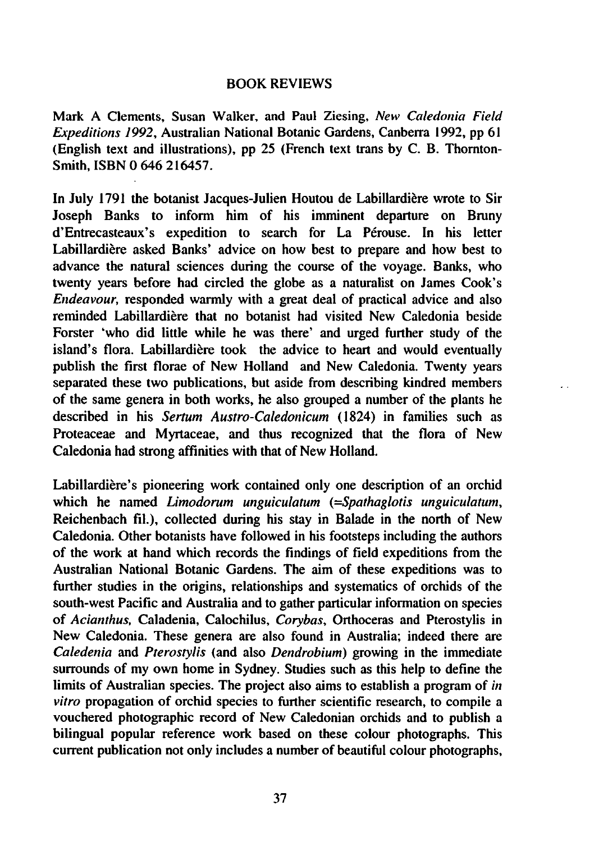## BOOK REVIEWS

Mark Clements, Susan Walker, and Paul Ziesing, New Caledonia Field Expeditions 1992, Australian National Botanic Gardens, Canberra 1992, pp 61 (English text and illustrations), pp 25 (French text trans by C. B. Thornton-Smith, ISBN 0 646 216457.

In July 1791 the botanist Jacques-Julien Houtou de Labillardiere wrote to Sir Joseph Banks to inform him of his imminent departure on Bruny d'Entrecasteaux's expedition to search for La Perouse. In his letter Labillardière asked Banks' advice on how best to prepare and how best to advance the natural sciences during the course of the voyage. Banks, who twenty years before had circled the globe as naturalist on James Cook's Endeavour, responded warmly with a great deal of practical advice and also reminded Labillardiere that no botanist had visited New Caledonia beside Forster 'who did little while he was there' and urged further study of the island's flora. Labillardière took the advice to heart and would eventually publish the first florae of New Holland and New Caledonia. Twenty years separated these two publications, but aside from describing kindred members of the same genera in both works, he also grouped a number of the plants he described in his Sertum Austro-Caledonicum (1824) in families such as Proteaceae and Myrtaceae, and thus recognized that the flora of New Caledonia had strong affinities with that of New Holland.

Labillardiere's pioneering work contained only one description of an orchid which he named Limodorum unguiculatum (=Spathaglotis unguiculatum, Reichenbach fil.), collected during his stay in Balade in the north of New Caledonia. Other botanists have followed in his footsteps including the authors of the work at hand which records the findings of field expeditions from the Australian National Botanic Gardens. The aim of these expeditions was to further studies in the origins, relationships and systematics of orchids of the south-west Pacific and Australia and to gather particular information on species of Acianthus, Caladenia, Calochilus, Corybas, Orthoceras and Pterostylis in New Caledonia. These genera are also found in Australia; indeed there are Caledenia and Pterostylis (and also Dendrobium) growing in the immediate surrounds of my own home in Sydney. Studies such as this help to define the limits of Australian species. The project also aims to establish a program of in vitro propagation of orchid species to further scientific research, to compile a vouchered photographic record of New Caledonian orchids and to publish a bilingual popular reference work based on these colour photographs. This current publication not only includes a number of beautiful colour photographs,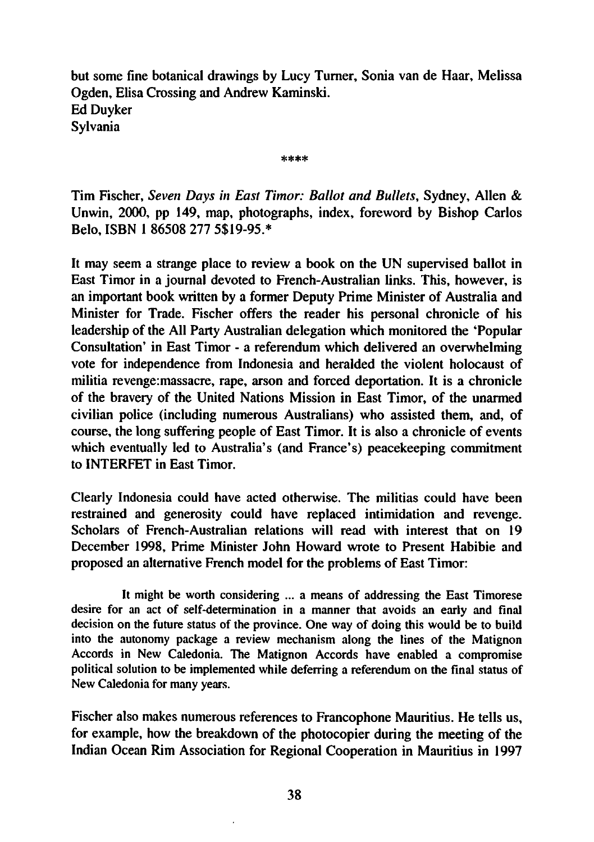but some fine botanical drawings by Lucy Turner, Sonia van de Haar, Melissa Ogden, Elisa Crossing and Andrew Kaminski. Ed Duyker Sylvania

\*\*\*\*

Tim Fischer, Seven Days in East Timor: Ballot and Bullets, Sydney, Allen & Unwin, 2000, pp 149, map, photographs, index, foreword by Bishop Carlos Belo, ISBN 186508 277 5\$19-95.\*

It may seem a strange place to review a book on the UN supervised ballot in East Timor in a journal devoted to French-Australian links. This, however, is an important book written by a former Deputy Prime Minister of Australia and Minister for Trade. Fischer offers the reader his personal chronicle of his leadership of the All Party Australian delegation which monitored the 'Popular Consultation' in East Timor - a referendum which delivered an overwhelming vote for independence from Indonesia and heralded the violent holocaust of militia revenge:massacre, rape, arson and forced deportation. It is chronicle of the bravery of the United Nations Mission in East Timor, of the unarmed civilian police (including numerous Australians) who assisted them, and, of course, the long suffering people of East Timor. It is also a chronicle of events which eventually led to Australia's (and France's) peacekeeping commitment to INTERFET in East Timor.

Clearly Indonesia could have acted otherwise. The militias could have been restrained and generosity could have replaced intimidation and revenge. Scholars of French-Australian relations will read with interest that on 19 December 1998, Prime Minister John Howard wrote to Present Habibie and proposed an alternative French model for the problems of East Timor:

It might be worth considering ... a means of addressing the East Timorese desire for an act of self-determination in a manner that avoids an early and final decision on the future status of the province. One way of doing this would be to build into the autonomy package a review mechanism along the lines of the Matignon Accords in New Caledonia. The Matignon Accords have enabled a compromise political solution to be implemented while deferring a referendum on the final status of New Caledonia for many years.

Fischer also makes numerous references to Francophone Mauritius. He tells us, for example, how the breakdown of the photocopier during the meeting of the Indian Ocean Rim Association for Regional Cooperation in Mauritius in 1997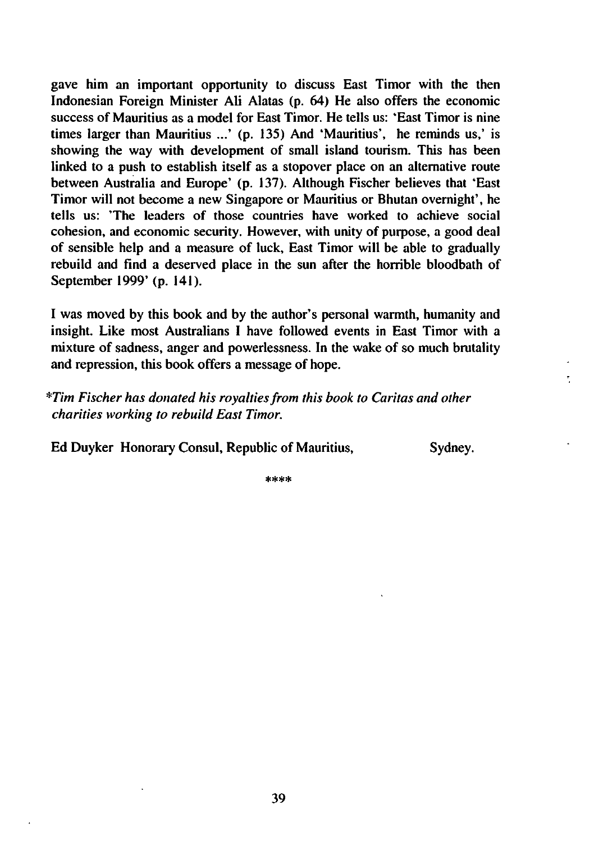gave him an important opportunity to discuss East Timor with the then Indonesian Foreign Minister Ali Alatas (p. 64) He also offers the economic success of Mauritius as a model for East Timor. He tells us: 'East Timor is nine times larger than Mauritius ...' (p. 135) And 'Mauritius', he reminds us,' is showing the way with development of small island tourism. This has been linked to a push to establish itself as a stopover place on an alternative route between Australia and Europe' (p. 137). Although Fischer believes that 'East Timor will not become a new Singapore or Mauritius or Bhutan overnight', he tells us: 'The leaders of those countries have worked to achieve social cohesion, and economic security. However, with unity of purpose, a good deal of sensible help and measure of luck, East Timor will be able to gradually rebuild and find a deserved place in the sun after the horrible bloodbath of September 1999' (p. 141).

was moved by this book and by the author's personal warmth, humanity and insight. Like most Australians I have followed events in East Timor with a mixture of sadness, anger and powerlessness. In the wake of so much brutality and repression, this book offers a message of hope.

\*Tim Fischer has donated his royalties from this book to Caritas and other charities working to rebuild East Timor.

Ed Duyker Honorary Consul, Republic of Mauritius, Sydney.

 $****$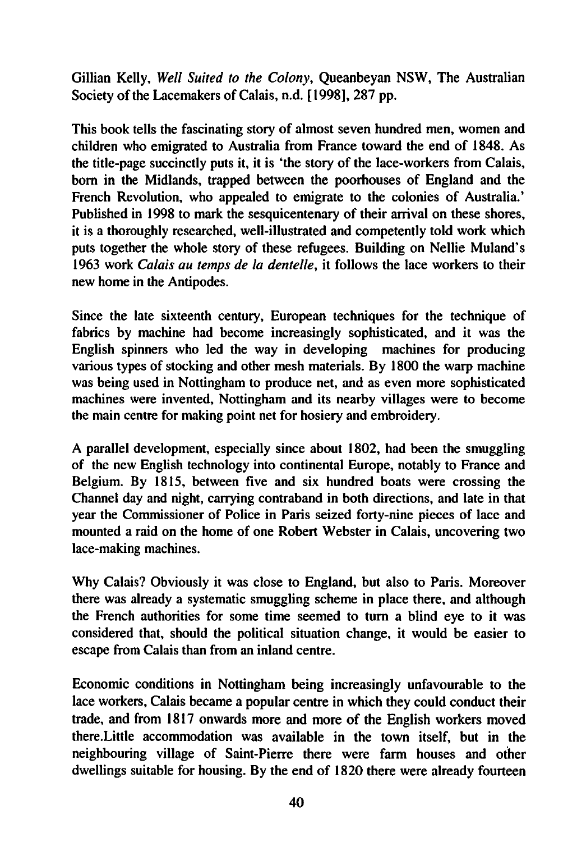Gillian Kelly, Well Suited to the Colony, Queanbeyan NSW, The Australian Society of the Lacemakers of Calais, n.d. [1998], 287 pp.

This book tells the fascinating story of almost seven hundred men, women and children who emigrated to Australia from France toward the end of 1848. As the title-page succinctly puts it, it is 'the story of the lace-workers from Calais, born in the Midlands, trapped between the poorhouses of England and the French Revolution, who appealed to emigrate to the colonies of Australia.' Published in 1998 to mark the sesquicentenary of their arrival on these shores, it is a thoroughly researched, well-illustrated and competently told work which puts together the whole story of these refugees. Building on Nellie Muland's 1963 work Calais au temps de la dentelle, it follows the lace workers to their new home in the Antipodes.

Since the late sixteenth century, European techniques for the technique of fabrics by machine had become increasingly sophisticated, and it was the English spinners who led the way in developing machines for producing various types of stocking and other mesh materials. By 1800 the warp machine was being used in Nottingham to produce net, and as even more sophisticated machines were invented, Nottingham and its nearby villages were to become the main centre for making point net for hosiery and embroidery.

parallel development, especially since about 1802, had been the smuggling of the new English technology into continental Europe, notably to France and Belgium. By 1815, between five and six hundred boats were crossing the Channel day and night, carrying contraband in both directions, and late in that year the Commissioner of Police in Paris seized forty-nine pieces of lace and mounted a raid on the home of one Robert Webster in Calais, uncovering two lace-making machines.

Why Calais? Obviously it was close to England, but also to Paris. Moreover there was already a systematic smuggling scheme in place there, and although the French authorities for some time seemed to turn a blind eye to it was considered that, should the political situation change, it would be easier to escape from Calais than from an inland centre.

Economic conditions in Nottingham being increasingly unfavourable to the lace workers, Calais became a popular centre in which they could conduct their trade, and from 1817 onwards more and more of the English workers moved there.Little accommodation was available in the town itself, but in the neighbouring village of Saint-Pierre there were farm houses and other dwellings suitable for housing. By the end of 1820 there were already fourteen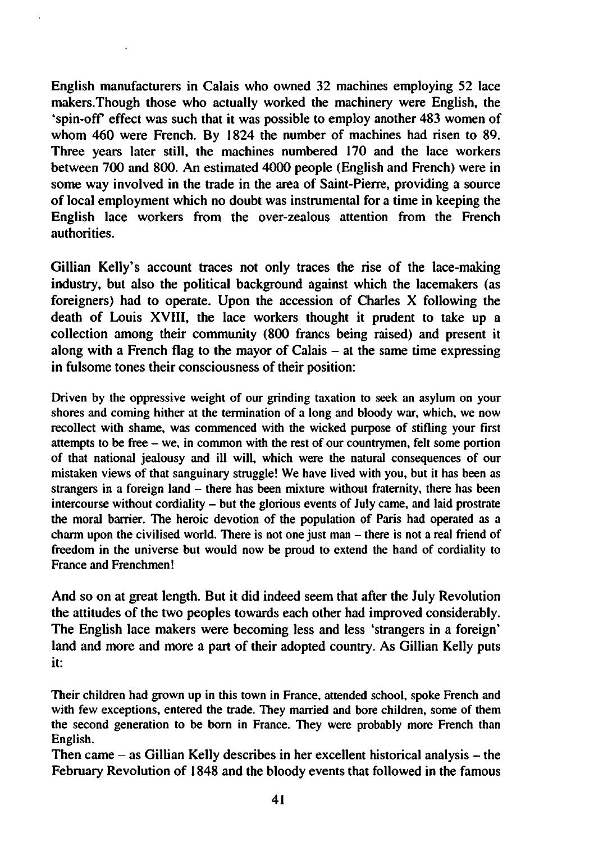English manufacturers in Calais who owned 32 machines employing 52 lace makers.Though those who actually worked the machinery were English, the 'spin-off effect was such that it was possible to employ another 483 women of whom 460 were French. By 1824 the number of machines had risen to 89. Three years later still, the machines numbered 170 and the lace workers between 700 and 800. An estimated 4000 people (English and French) were in some way involved in the trade in the area of Saint-Pierre, providing a source of local employment which no doubt was instrumental for a time in keeping the English lace workers from the over-zealous attention from the French authorities.

Gillian Kelly's account traces not only traces the rise of the lace-making industry, but also the political background against which the lacemakers (as foreigners) had to operate. Upon the accession of Charles  $X$  following the death of Louis XVIII, the lace workers thought it prudent to take up a collection among their community (800 francs being raised) and present it along with a French flag to the mayor of Calais  $-$  at the same time expressing in fulsome tones their consciousness of their position:

Driven by the oppressive weight of our grinding taxation to seek an asylum on your shores and coming hither at the termination of a long and bloody war, which, we now recollect with shame, was commenced with the wicked purpose of stifling your first attempts to be free  $-$  we, in common with the rest of our countrymen, felt some portion of that national jealousy and ill will, which were the natural consequences of our mistaken views of that sanguinary struggle! We have lived with you, but it has been as strangers in a foreign land  $-$  there has been mixture without fraternity, there has been intercourse without cordiality  $-$  but the glorious events of July came, and laid prostrate the moral barrier. The heroic devotion of the population of Paris had operated as a charm upon the civilised world. There is not one just man  $-$  there is not a real friend of freedom in the universe but would now be proud to extend the hand of cordiality to France and Frenchmen!

And so on at great length. But it did indeed seem that after the July Revolution the attitudes of the two peoples towards each other had improved considerably. The English lace makers were becoming less and less 'strangers in a foreign' land and more and more a part of their adopted country. As Gillian Kelly puts it:

Their children had grown up in this town in France, attended school, spoke French and with few exceptions, entered the trade. They married and bore children, some of them the second generation to be born in France. They were probably more French than English.

Then came  $-$  as Gillian Kelly describes in her excellent historical analysis  $-$  the February Revolution of 1848 and the bloody events that followed in the famous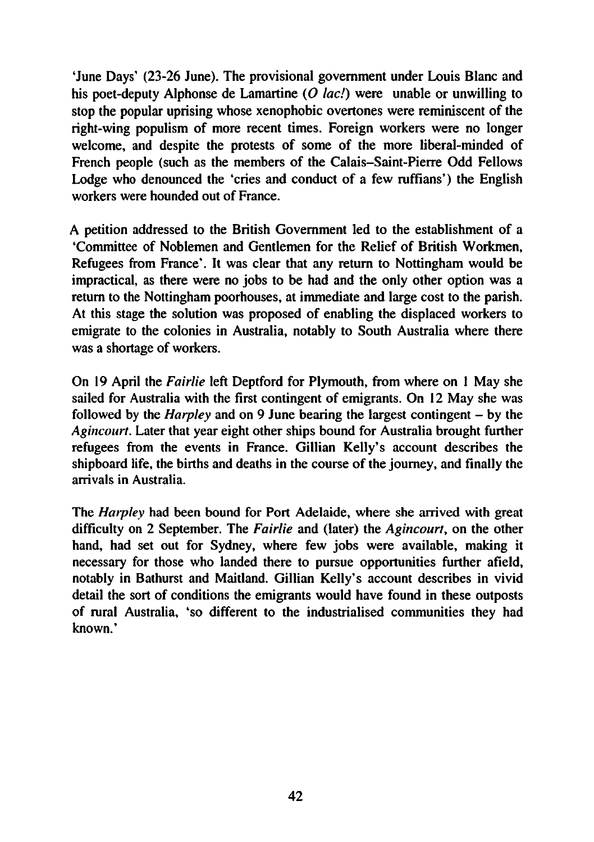'June Days' (23-26 June). The provisional government under Louis Blanc and his poet-deputy Alphonse de Lamartine (O  $lac$ ) were unable or unwilling to stop the popular uprising whose xenophobic overtones were reminiscent of the right-wing populism of more recent times. Foreign workers were no longer welcome, and despite the protests of some of the more liberal-minded of French people (such as the members of the Calais-Saint-Pierre Odd Fellows Lodge who denounced the 'cries and conduct of a few ruffians') the English workers were hounded out of France.

A petition addressed to the British Government led to the establishment of a 'Committee of Noblemen and Gentlemen for the Relief of British Workmen, Refugees from France'. It was clear that any return to Nottingham would be impractical, as there were no jobs to be had and the only other option was a return to the Nottingham poorhouses, at immediate and large cost to the parish. At this stage the solution was proposed of enabling the displaced workers to emigrate to the colonies in Australia, notably to South Australia where there was a shortage of workers.

On 19 April the Fairlie left Deptford for Plymouth, from where on 1 May she sailed for Australia with the first contingent of emigrants. On <sup>12</sup> May she was followed by the *Harpley* and on 9 June bearing the largest contingent  $-$  by the Agincourt. Later that year eight other ships bound for Australia brought further refugees from the events in France. Gillian Kelly's account describes the shipboard life, the births and deaths in the course of the journey, and finally the arrivals in Australia.

The Harpley had been bound for Port Adelaide, where she arrived with great difficulty on 2 September. The Fairlie and (later) the Agincourt, on the other hand, had set out for Sydney, where few jobs were available, making it necessary for those who landed there to pursue opportunities further afield, notably in Bathurst and Maitland. Gillian Kelly's account describes in vivid detail the sort of conditions the emigrants would have found in these outposts of rural Australia, 'so different to the industrialised communities they had known.'